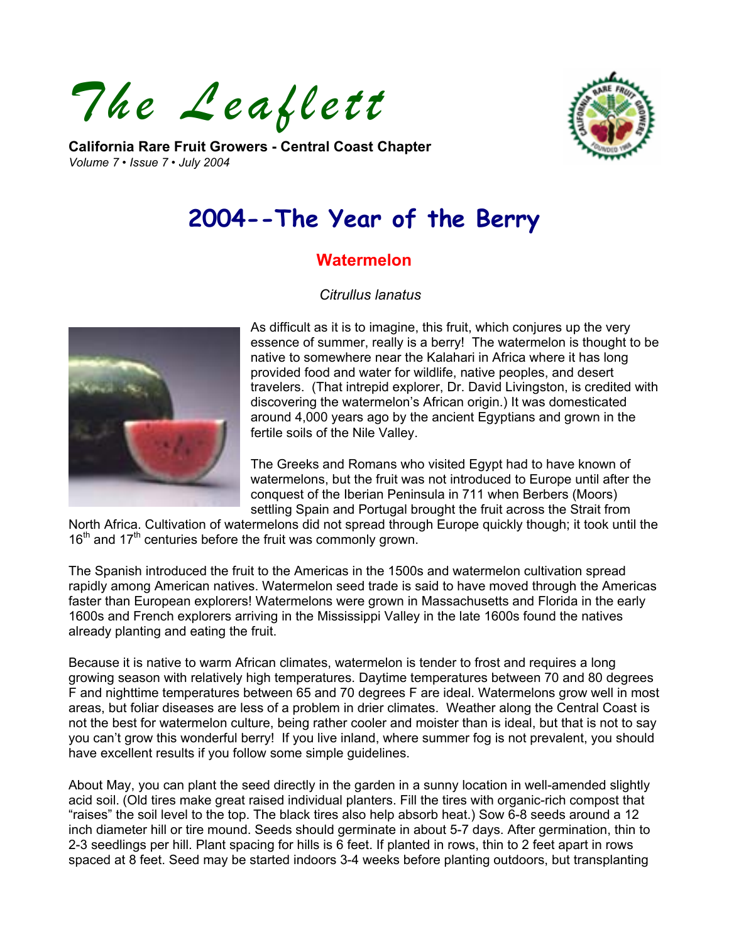*The Leaflett* 

**California Rare Fruit Growers - Central Coast Chapter**  *Volume 7 • Issue 7 • July 2004* 



# **2004--The Year of the Berry**

# **Watermelon**

## *Citrullus lanatus*



As difficult as it is to imagine, this fruit, which conjures up the very essence of summer, really is a berry! The watermelon is thought to b e native to somewhere near the Kalahari in Africa where it has long provided food and water for wildlife, native peoples, and desert travelers. (That intrepid explorer, Dr. David Livingston, is credited with discovering the watermelon's African origin.) It was domesticated around 4,000 years ago by the ancient Egyptians and grown in the fertile soils of the Nile Valley.

The Greeks and Romans who visited Egypt had to have known of watermelons, but the fruit was not introduced to Europe until after the conquest of the Iberian Peninsula in 711 when Berbers (Moors) settling Spain and Portugal brought the fruit across the Strait from

North Africa. Cultivation of watermelons did not spread through Europe quickly though; it took until the  $16<sup>th</sup>$  and  $17<sup>th</sup>$  centuries before the fruit was commonly grown.

The Spanish introduced the fruit to the Americas in the 1500s and watermelon cultivation spread rapidly among American natives. Watermelon seed trade is said to have moved through the Americas faster than European explorers! Watermelons were grown in Massachusetts and Florida in the early 1600s and French explorers arriving in the Mississippi Valley in the late 1600s found the natives already planting and eating the fruit.

Because it is native to warm African climates, watermelon is tender to frost and requires a long growing season with relatively high temperatures. Daytime temperatures between 70 and 80 degrees F and nighttime temperatures between 65 and 70 degrees F are ideal. Watermelons grow well in most areas, but foliar diseases are less of a problem in drier climates. Weather along the Central Coast is not the best for watermelon culture, being rather cooler and moister than is ideal, but that is not to say you can't grow this wonderful berry! If you live inland, where summer fog is not prevalent, you should have excellent results if you follow some simple guidelines.

About May, you can plant the seed directly in the garden in a sunny location in well-amended slightly acid soil. (Old tires make great raised individual planters. Fill the tires with organic-rich compost that "raises" the soil level to the top. The black tires also help absorb heat.) Sow 6-8 seeds around a 12 inch diameter hill or tire mound. Seeds should germinate in about 5-7 days. After germination, thin to 2-3 seedlings per hill. Plant spacing for hills is 6 feet. If planted in rows, thin to 2 feet apart in rows spaced at 8 feet. Seed may be started indoors 3-4 weeks before planting outdoors, but transplanting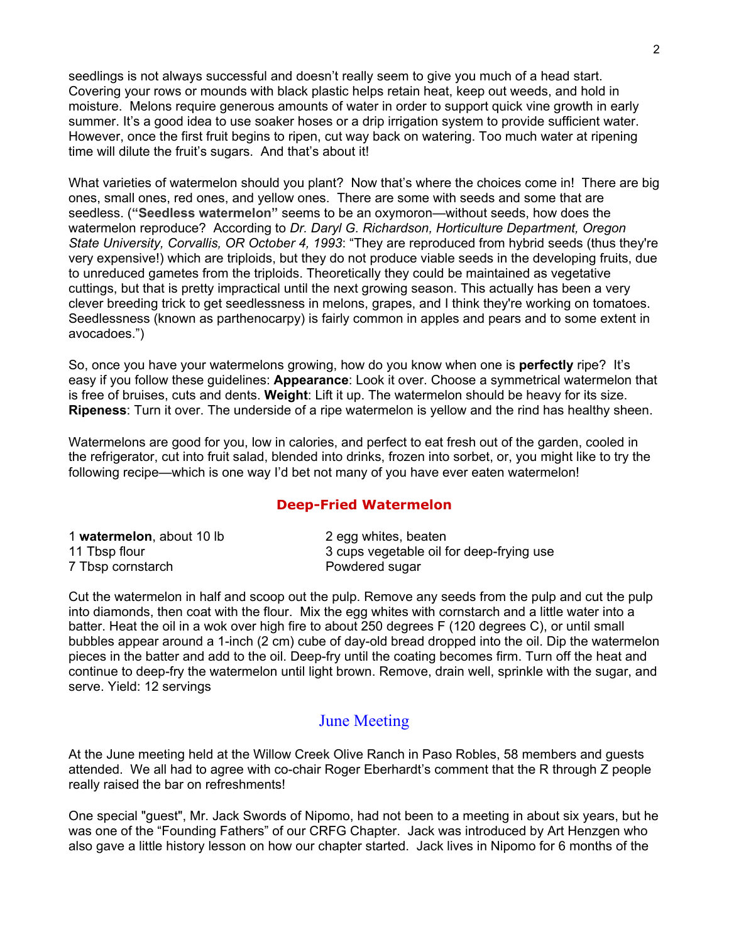seedlings is not always successful and doesn't really seem to give you much of a head start. Covering your rows or mounds with black plastic helps retain heat, keep out weeds, and hold in moisture. Melons require generous amounts of water in order to support quick vine growth in early summer. It's a good idea to use soaker hoses or a drip irrigation system to provide sufficient water. However, once the first fruit begins to ripen, cut way back on watering. Too much water at ripening time will dilute the fruit's sugars. And that's about it!

What varieties of watermelon should you plant? Now that's where the choices come in! There are big ones, small ones, red ones, and yellow ones. There are some with seeds and some that are seedless. (**"Seedless watermelon"** seems to be an oxymoron—without seeds, how does the watermelon reproduce? According to *Dr. Daryl G. Richardson, Horticulture Department, Oregon State University, Corvallis, OR October 4, 1993*: "They are reproduced from hybrid seeds (thus they're very expensive!) which are triploids, but they do not produce viable seeds in the developing fruits, due to unreduced gametes from the triploids. Theoretically they could be maintained as vegetative cuttings, but that is pretty impractical until the next growing season. This actually has been a very clever breeding trick to get seedlessness in melons, grapes, and I think they're working on tomatoes. Seedlessness (known as parthenocarpy) is fairly common in apples and pears and to some extent in avocadoes.")

So, once you have your watermelons growing, how do you know when one is **perfectly** ripe? It's easy if you follow these guidelines: **Appearance**: Look it over. Choose a symmetrical watermelon that is free of bruises, cuts and dents. **Weight**: Lift it up. The watermelon should be heavy for its size. **Ripeness**: Turn it over. The underside of a ripe watermelon is yellow and the rind has healthy sheen.

Watermelons are good for you, low in calories, and perfect to eat fresh out of the garden, cooled in the refrigerator, cut into fruit salad, blended into drinks, frozen into sorbet, or, you might like to try the following recipe—which is one way I'd bet not many of you have ever eaten watermelon!

## **Deep-Fried Watermelon**

| 1 watermelon, about 10 lb | 2 egg whites, beaten                     |
|---------------------------|------------------------------------------|
| 11 Tbsp flour             | 3 cups vegetable oil for deep-frying use |
| 7 Tbsp cornstarch         | Powdered sugar                           |

Cut the watermelon in half and scoop out the pulp. Remove any seeds from the pulp and cut the pulp into diamonds, then coat with the flour. Mix the egg whites with cornstarch and a little water into a batter. Heat the oil in a wok over high fire to about 250 degrees F (120 degrees C), or until small bubbles appear around a 1-inch (2 cm) cube of day-old bread dropped into the oil. Dip the watermelon pieces in the batter and add to the oil. Deep-fry until the coating becomes firm. Turn off the heat and continue to deep-fry the watermelon until light brown. Remove, drain well, sprinkle with the sugar, and serve. Yield: 12 servings

## June Meeting

At the June meeting held at the Willow Creek Olive Ranch in Paso Robles, 58 members and guests attended. We all had to agree with co-chair Roger Eberhardt's comment that the R through Z people really raised the bar on refreshments!

One special "guest", Mr. Jack Swords of Nipomo, had not been to a meeting in about six years, but he was one of the "Founding Fathers" of our CRFG Chapter. Jack was introduced by Art Henzgen who also gave a little history lesson on how our chapter started. Jack lives in Nipomo for 6 months of the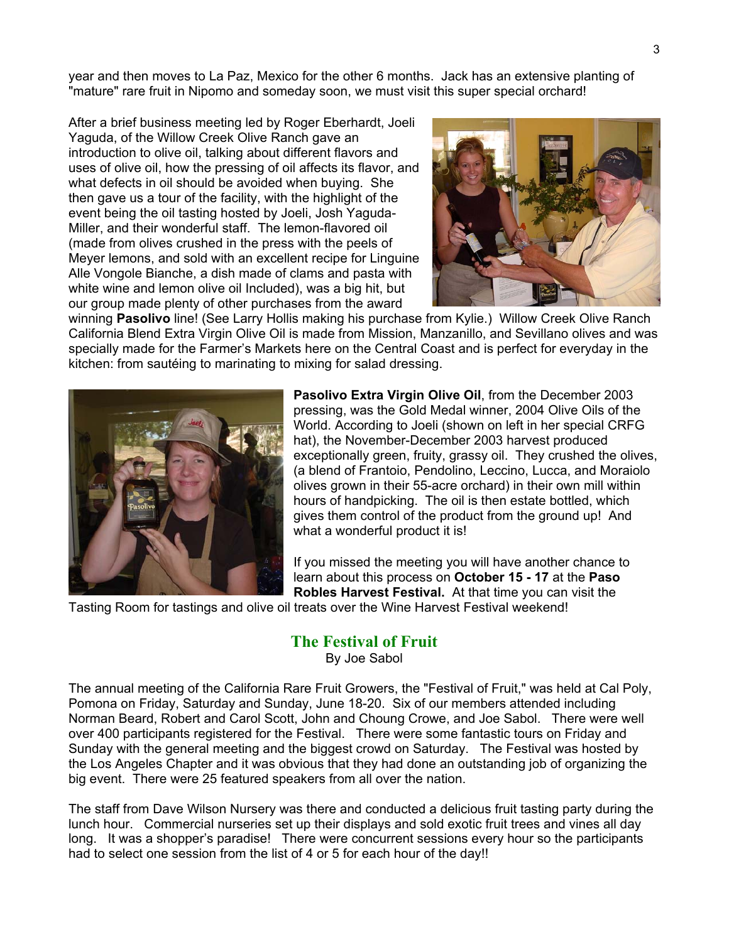year and then moves to La Paz, Mexico for the other 6 months. Jack has an extensive planting of "mature" rare fruit in Nipomo and someday soon, we must visit this super special orchard!

After a brief business meeting led by Roger Eberhardt, Joeli Yaguda, of the Willow Creek Olive Ranch gave an introduction to olive oil, talking about different flavors and uses of olive oil, how the pressing of oil affects its flavor, and what defects in oil should be avoided when buying. She then gave us a tour of the facility, with the highlight of the event being the oil tasting hosted by Joeli, Josh Yaguda-Miller, and their wonderful staff. The lemon-flavored oil (made from olives crushed in the press with the peels of Meyer lemons, and sold with an excellent recipe for Linguine Alle Vongole Bianche, a dish made of clams and pasta with white wine and lemon olive oil Included), was a big hit, but our group made plenty of other purchases from the award



winning **Pasolivo** line! (See Larry Hollis making his purchase from Kylie.) Willow Creek Olive Ranch California Blend Extra Virgin Olive Oil is made from Mission, Manzanillo, and Sevillano olives and was specially made for the Farmer's Markets here on the Central Coast and is perfect for everyday in the kitchen: from sautéing to marinating to mixing for salad dressing.



**Pasolivo Extra Virgin Olive Oil**, from the December 2003 pressing, was the Gold Medal winner, 2004 Olive Oils of the World. According to Joeli (shown on left in her special CRFG hat), the November-December 2003 harvest produced exceptionally green, fruity, grassy oil. They crushed the olives, (a blend of Frantoio, Pendolino, Leccino, Lucca, and Moraiolo olives grown in their 55-acre orchard) in their own mill within hours of handpicking. The oil is then estate bottled, which gives them control of the product from the ground up! And what a wonderful product it is!

If you missed the meeting you will have another chance to learn about this process on **October 15 - 17** at the **Paso Robles Harvest Festival.** At that time you can visit the

Tasting Room for tastings and olive oil treats over the Wine Harvest Festival weekend!

# **The Festival of Fruit**

By Joe Sabol

The annual meeting of the California Rare Fruit Growers, the "Festival of Fruit," was held at Cal Poly, Pomona on Friday, Saturday and Sunday, June 18-20. Six of our members attended including Norman Beard, Robert and Carol Scott, John and Choung Crowe, and Joe Sabol. There were well over 400 participants registered for the Festival. There were some fantastic tours on Friday and Sunday with the general meeting and the biggest crowd on Saturday. The Festival was hosted by the Los Angeles Chapter and it was obvious that they had done an outstanding job of organizing the big event. There were 25 featured speakers from all over the nation.

The staff from Dave Wilson Nursery was there and conducted a delicious fruit tasting party during the lunch hour. Commercial nurseries set up their displays and sold exotic fruit trees and vines all day long. It was a shopper's paradise! There were concurrent sessions every hour so the participants had to select one session from the list of 4 or 5 for each hour of the day!!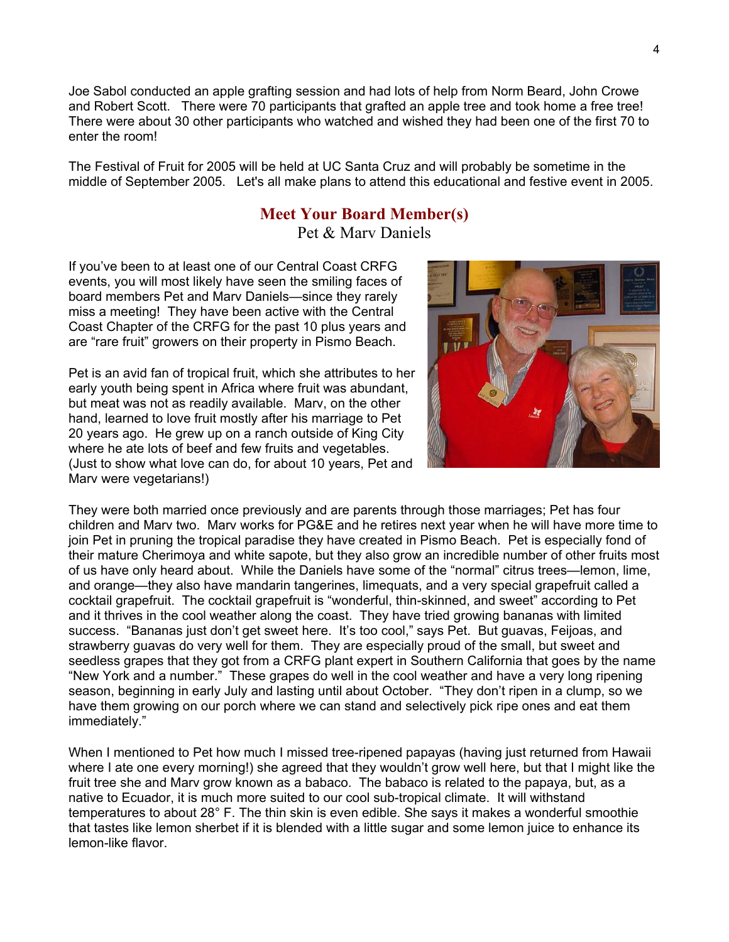Joe Sabol conducted an apple grafting session and had lots of help from Norm Beard, John Crowe and Robert Scott. There were 70 participants that grafted an apple tree and took home a free tree! There were about 30 other participants who watched and wished they had been one of the first 70 to enter the room!

The Festival of Fruit for 2005 will be held at UC Santa Cruz and will probably be sometime in the middle of September 2005. Let's all make plans to attend this educational and festive event in 2005.

## **Meet Your Board Member(s)**

Pet & Marv Daniels

If you've been to at least one of our Central Coast CRFG events, you will most likely have seen the smiling faces of board members Pet and Marv Daniels—since they rarely miss a meeting! They have been active with the Central Coast Chapter of the CRFG for the past 10 plus years and are "rare fruit" growers on their property in Pismo Beach.

Pet is an avid fan of tropical fruit, which she attributes to h er early youth being spent in Africa where fruit was abun dant, but meat was not as readily available. Marv, on the other hand, learned to love fruit mostly after his marriage t o Pet 20 years ago. He grew up on a ranch outside of King C ity where he ate lots of beef and few fruits and vegetables. (Just to show what love can do, for about 10 years, Pet and Marv were vegetarians!)



They were both married once previously and are parents through those marriages; Pet has four children and Marv two. Marv works for PG&E and he retires next year when he will have more time to join Pet in pruning the tropical paradise they have created in Pismo Beach. Pet is especially fond of their mature Cherimoya and white sapote, but they also grow an incredible number of other fruits most of us have only heard about. While the Daniels have some of the "normal" citrus trees—lemon, lime, and orange—they also have mandarin tangerines, limequats, and a very special grapefruit called a cocktail grapefruit. The cocktail grapefruit is "wonderful, thin-skinned, and sweet" according to Pet and it thrives in the cool weather along the coast. They have tried growing bananas with limited success. "Bananas just don't get sweet here. It's too cool," says Pet. But guavas, Feijoas, and strawberry guavas do very well for them. They are especially proud of the small, but sweet and seedless grapes that they got from a CRFG plant expert in Southern California that goes by the name "New York and a number." These grapes do well in the cool weather and have a very long ripening season, beginning in early July and lasting until about October. "They don't ripen in a clump, so we have them growing on our porch where we can stand and selectively pick ripe ones and eat them immediately."

When I mentioned to Pet how much I missed tree-ripened papayas (having just returned from Hawaii) where I ate one every morning!) she agreed that they wouldn't grow well here, but that I might like the fruit tree she and Marv grow known as a babaco. The babaco is related to the papaya, but, as a native to Ecuador, it is much more suited to our cool sub-tropical climate. It will withstand temperatures to about 28° F. The thin skin is even edible. She says it makes a wonderful smoothie that tastes like lemon sherbet if it is blended with a little sugar and some lemon juice to enhance its lemon-like flavor.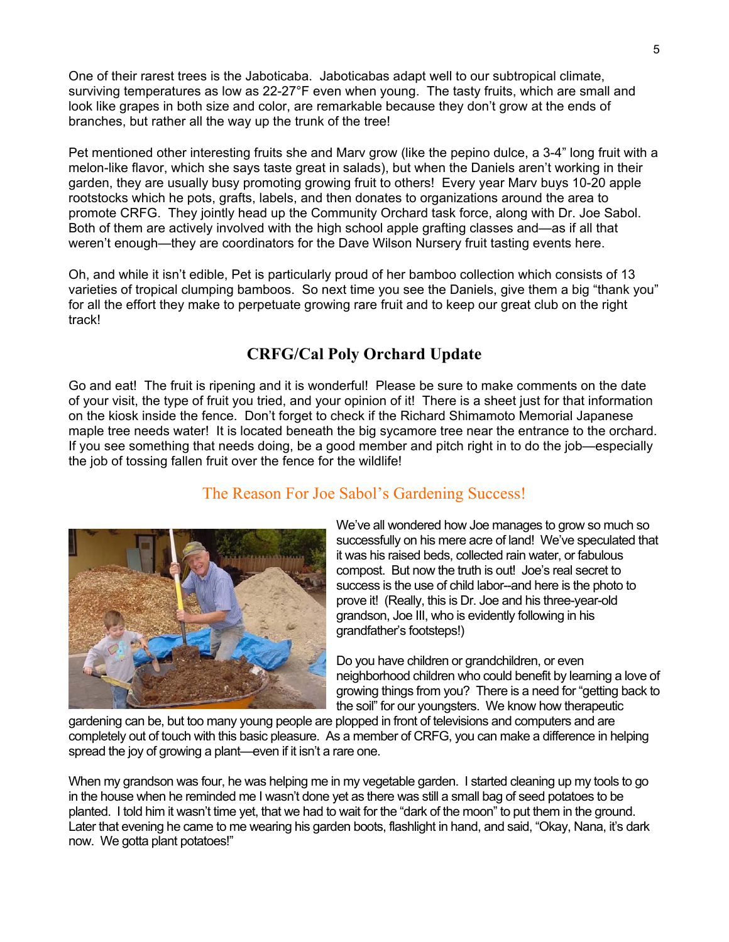One of their rarest trees is the Jaboticaba. Jaboticabas adapt well to our subtropical climate, surviving temperatures as low as 22-27°F even when young. The tasty fruits, which are small and look like grapes in both size and color, are remarkable because they don't grow at the ends of branches, but rather all the way up the trunk of the tree!

Pet mentioned other interesting fruits she and Marv grow (like the pepino dulce, a 3-4" long fruit with a melon-like flavor, which she says taste great in salads), but when the Daniels aren't working in their garden, they are usually busy promoting growing fruit to others! Every year Marv buys 10-20 apple rootstocks which he pots, grafts, labels, and then donates to organizations around the area to promote CRFG. They jointly head up the Community Orchard task force, along with Dr. Joe Sabol. Both of them are actively involved with the high school apple grafting classes and—as if all that weren't enough—they are coordinators for the Dave Wilson Nursery fruit tasting events here.

Oh, and while it isn't edible, Pet is particularly proud of her bamboo collection which consists of 13 varieties of tropical clumping bamboos. So next time you see the Daniels, give them a big "thank you" for all the effort they make to perpetuate growing rare fruit and to keep our great club on the right track!

# **CRFG/Cal Poly Orchard Update**

Go and eat! The fruit is ripening and it is wonderful! Please be sure to make comments on the date of your visit, the type of fruit you tried, and your opinion of it! There is a sheet just for that information on the kiosk inside the fence. Don't forget to check if the Richard Shimamoto Memorial Japanese maple tree needs water! It is located beneath the big sycamore tree near the entrance to the orchard. If you see something that needs doing, be a good member and pitch right in to do the job—especially the job of tossing fallen fruit over the fence for the wildlife!

# The Reason For Joe Sabol's Gardening Success!



We've all wondered how Joe manages to grow so much so successfully on his mere acre of land! We've speculated th at it was his raised beds, collected rain water, or fabulous compost. But now the truth is out! Joe's real secret to success is the use of child labor--and here is the photo to prove it! (Really, this is Dr. Joe and his three-year-old grandson, Joe III, who is evidently following in his grandfather's footsteps!)

neighborhood children who could benefit by learning a love of growing things from you? There is a need for "getting back to the soil" for our youngsters. We know how therapeutic Do you have children or grandchildren, or even

completely out of touch with this basic pleasure. As a member of CRFG, you can make a difference in helping gardening can be, but too many young people are plopped in front of televisions and computers and are spread the joy of growing a plant—even if it isn't a rare one.

When my grandson was four, he was helping me in my vegetable garden. I started cleaning up my tools to go in the house when he reminded me I wasn't done yet as there was still a small bag of seed potatoes to be planted. I told him it wasn't time yet, that we had to wait for the "dark of the moon" to put them in the ground. Later that evening he came to me wearing his garden boots, flashlight in hand, and said, "Okay, Nana, it's dark now. We gotta plant potatoes!"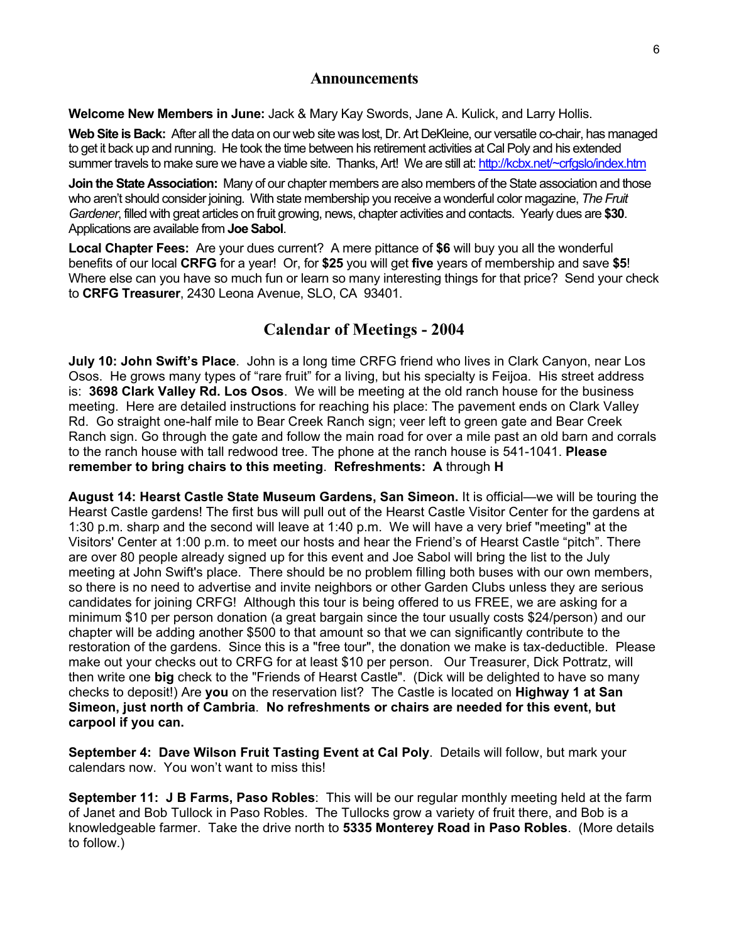## **Announcements**

**Welcome New Members in June:** Jack & Mary Kay Swords, Jane A. Kulick, and Larry Hollis.

**Web Site is Back:** After all the data on our web site was lost, Dr. Art DeKleine, our versatile co-chair, has managed to get it back up and running. He took the time between his retirement activities at Cal Poly and his extended summer travels to make sure we have a viable site. Thanks, Art! We are still at:<http://kcbx.net/~crfgslo/index.htm>

**Join the State Association:** Many of our chapter members are also members of the State association and those who aren't should consider joining. With state membership you receive a wonderful color magazine, *The Fruit Gardener*, filled with great articles on fruit growing, news, chapter activities and contacts. Yearly dues are **\$30**. Applications are available from **Joe Sabol**.

**Local Chapter Fees:** Are your dues current?A mere pittance of **\$6** will buy you all the wonderful benefits of our local **CRFG** for a year! Or, for **\$25** you will get **five** years of membership and save **\$5**! Where else can you have so much fun or learn so many interesting things for that price? Send your check to **CRFG Treasurer**, 2430 Leona Avenue, SLO, CA 93401.

# **Calendar of Meetings - 2004**

**July 10: John Swift's Place**. John is a long time CRFG friend who lives in Clark Canyon, near Los Osos. He grows many types of "rare fruit" for a living, but his specialty is Feijoa. His street address is: **3698 Clark Valley Rd. Los Osos**. We will be meeting at the old ranch house for the business meeting. Here are detailed instructions for reaching his place: The pavement ends on Clark Valley Rd. Go straight one-half mile to Bear Creek Ranch sign; veer left to green gate and Bear Creek Ranch sign. Go through the gate and follow the main road for over a mile past an old barn and corrals to the ranch house with tall redwood tree. The phone at the ranch house is 541-1041. **Please remember to bring chairs to this meeting**. **Refreshments: A** through **H** 

**August 14: Hearst Castle State Museum Gardens, San Simeon.** It is official—we will be touring the Hearst Castle gardens! The first bus will pull out of the Hearst Castle Visitor Center for the gardens at 1:30 p.m. sharp and the second will leave at 1:40 p.m. We will have a very brief "meeting" at the Visitors' Center at 1:00 p.m. to meet our hosts and hear the Friend's of Hearst Castle "pitch". There are over 80 people already signed up for this event and Joe Sabol will bring the list to the July meeting at John Swift's place. There should be no problem filling both buses with our own members, so there is no need to advertise and invite neighbors or other Garden Clubs unless they are serious candidates for joining CRFG! Although this tour is being offered to us FREE, we are asking for a minimum \$10 per person donation (a great bargain since the tour usually costs \$24/person) and our chapter will be adding another \$500 to that amount so that we can significantly contribute to the restoration of the gardens. Since this is a "free tour", the donation we make is tax-deductible. Please make out your checks out to CRFG for at least \$10 per person. Our Treasurer, Dick Pottratz, will then write one **big** check to the "Friends of Hearst Castle". (Dick will be delighted to have so many checks to deposit!) Are **you** on the reservation list? The Castle is located on **Highway 1 at San Simeon, just north of Cambria**. **No refreshments or chairs are needed for this event, but carpool if you can.**

**September 4: Dave Wilson Fruit Tasting Event at Cal Poly**. Details will follow, but mark your calendars now. You won't want to miss this!

**September 11: J B Farms, Paso Robles**: This will be our regular monthly meeting held at the farm of Janet and Bob Tullock in Paso Robles. The Tullocks grow a variety of fruit there, and Bob is a knowledgeable farmer. Take the drive north to **5335 Monterey Road in Paso Robles**. (More details to follow.)